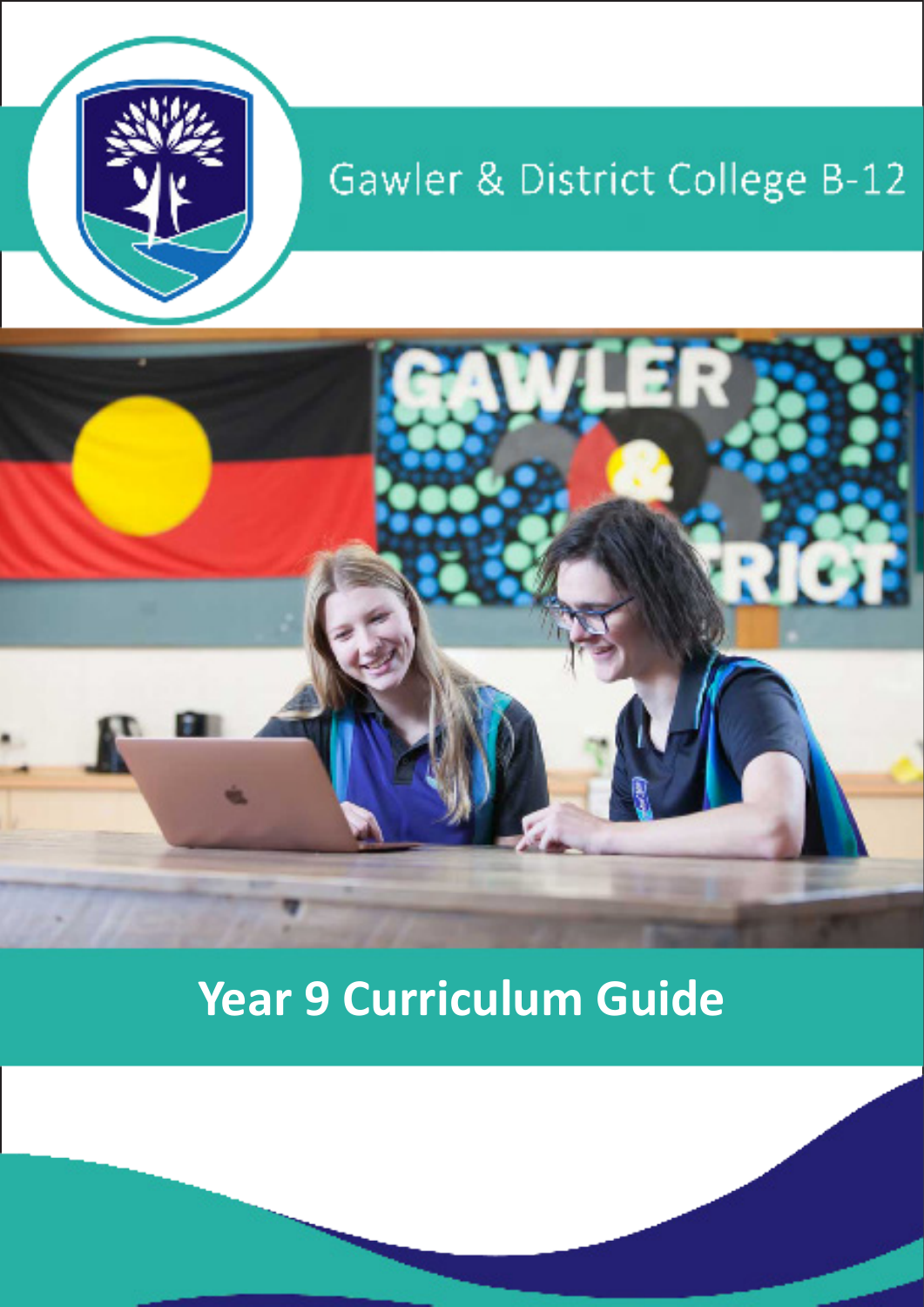

# Gawler & District College B-12



# **Year 9 Curriculum Guide**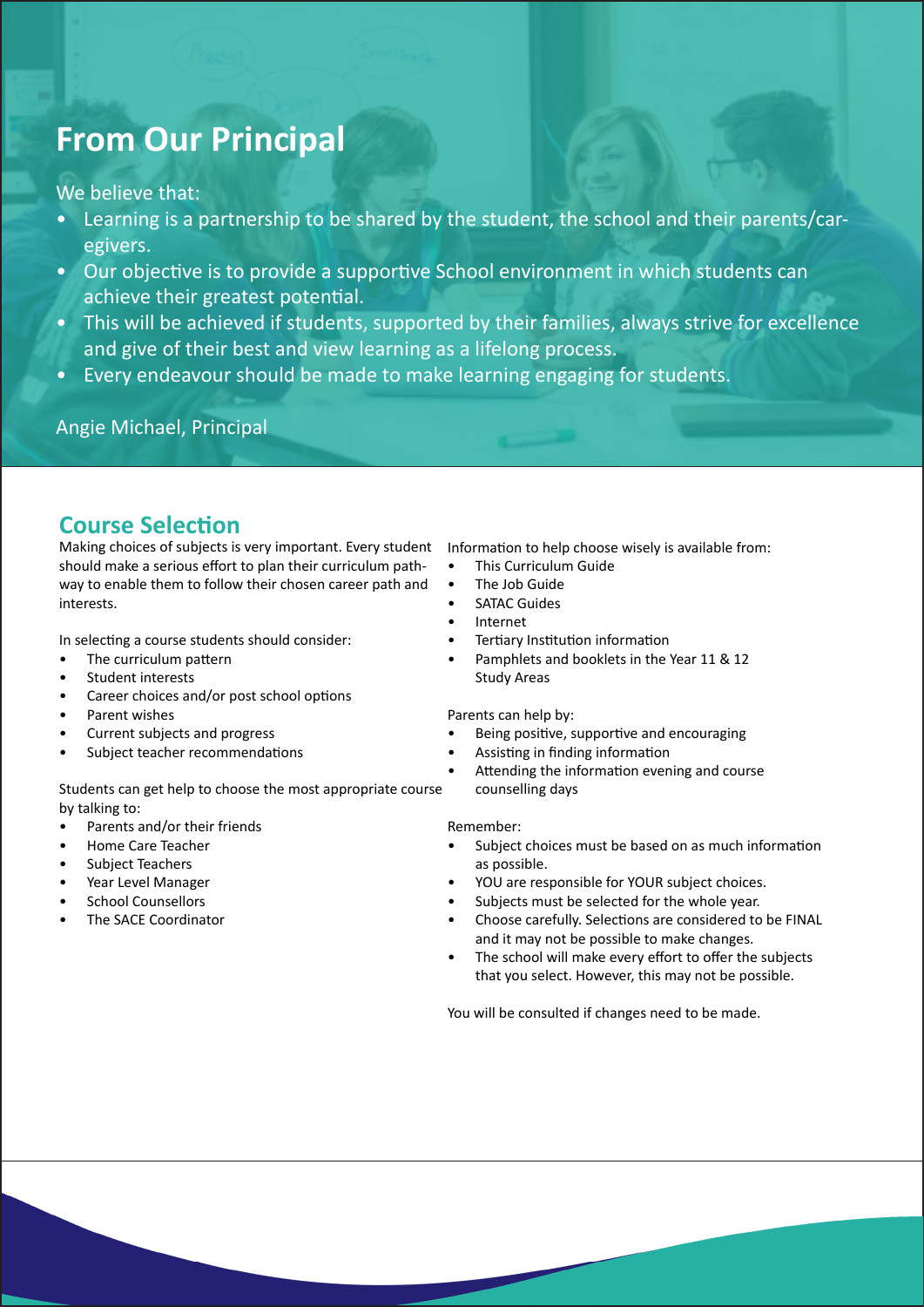# **From Our Principal**

We believe that:

- Learning is a partnership to be shared by the student, the school and their parents/caregivers.
- Our objective is to provide a supportive School environment in which students can achieve their greatest potential.
- This will be achieved if students, supported by their families, always strive for excellence and give of their best and view learning as a lifelong process.
- Every endeavour should be made to make learning engaging for students.

Angie Michael, Principal

## **Course Selection**

Making choices of subjects is very important. Every student Information to help choose wisely is available from: should make a serious effort to plan their curriculum pathway to enable them to follow their chosen career path and interests.

In selecting a course students should consider:

- The curriculum pattern
- Student interests
- Career choices and/or post school options
- Parent wishes
- Current subjects and progress
- Subject teacher recommendations

Students can get help to choose the most appropriate course by talking to:

- Parents and/or their friends
- Home Care Teacher
- Subject Teachers
- Year Level Manager
- School Counsellors
- The SACE Coordinator

- This Curriculum Guide
- The Job Guide
- **SATAC Guides**
- **Internet**
- Tertiary Institution information
- Pamphlets and booklets in the Year 11 & 12 Study Areas

Parents can help by:

- Being positive, supportive and encouraging
- Assisting in finding information
- Attending the information evening and course counselling days

#### Remember:

- Subject choices must be based on as much information as possible.
- YOU are responsible for YOUR subject choices.
- Subjects must be selected for the whole year.
- Choose carefully. Selections are considered to be FINAL and it may not be possible to make changes.
- The school will make every effort to offer the subjects that you select. However, this may not be possible.

You will be consulted if changes need to be made.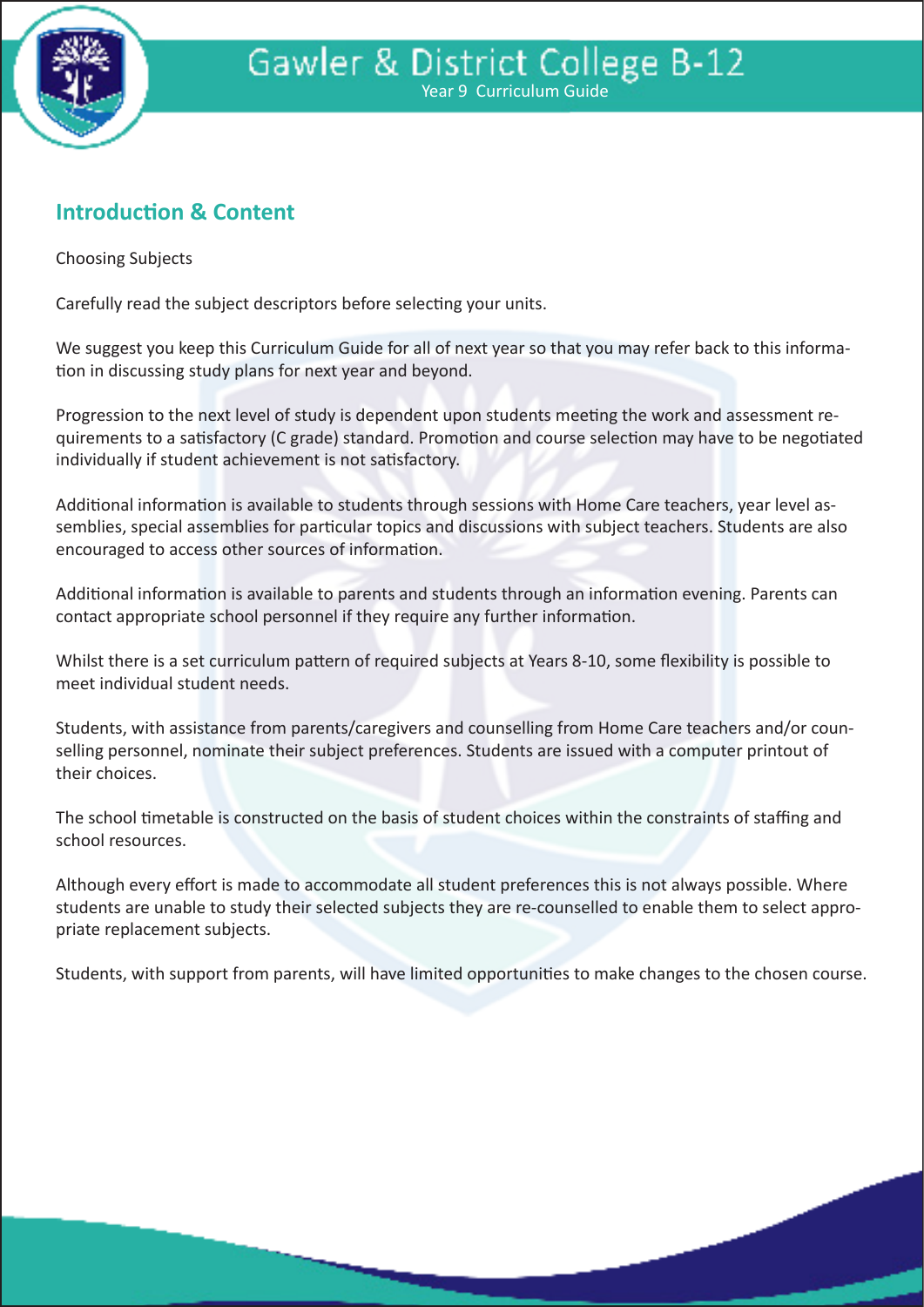

# **Introduction & Content**

Choosing Subjects

Carefully read the subject descriptors before selecting your units.

We suggest you keep this Curriculum Guide for all of next year so that you may refer back to this information in discussing study plans for next year and beyond.

Progression to the next level of study is dependent upon students meeting the work and assessment requirements to a satisfactory (C grade) standard. Promotion and course selection may have to be negotiated individually if student achievement is not satisfactory.

Additional information is available to students through sessions with Home Care teachers, year level assemblies, special assemblies for particular topics and discussions with subject teachers. Students are also encouraged to access other sources of information.

Additional information is available to parents and students through an information evening. Parents can contact appropriate school personnel if they require any further information.

Whilst there is a set curriculum pattern of required subjects at Years 8-10, some flexibility is possible to meet individual student needs.

Students, with assistance from parents/caregivers and counselling from Home Care teachers and/or counselling personnel, nominate their subject preferences. Students are issued with a computer printout of their choices.

The school timetable is constructed on the basis of student choices within the constraints of staffing and school resources.

Although every effort is made to accommodate all student preferences this is not always possible. Where students are unable to study their selected subjects they are re-counselled to enable them to select appropriate replacement subjects.

Students, with support from parents, will have limited opportunities to make changes to the chosen course.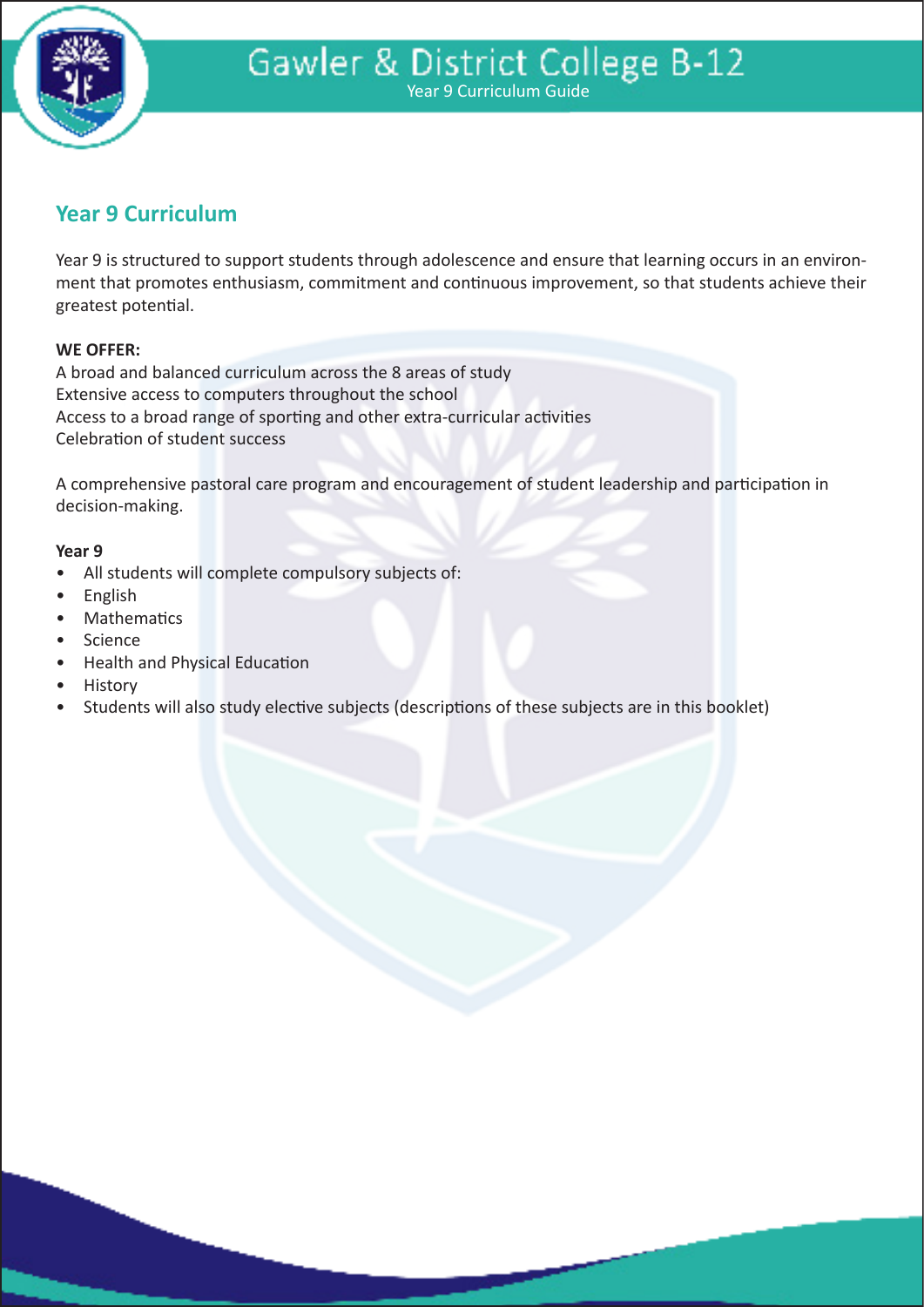

# **Year 9 Curriculum**

Year 9 is structured to support students through adolescence and ensure that learning occurs in an environment that promotes enthusiasm, commitment and continuous improvement, so that students achieve their greatest potential.

#### **WE OFFER:**

A broad and balanced curriculum across the 8 areas of study Extensive access to computers throughout the school Access to a broad range of sporting and other extra-curricular activities Celebration of student success

A comprehensive pastoral care program and encouragement of student leadership and participation in decision-making.

#### **Year 9**

- All students will complete compulsory subjects of:
- English
- **Mathematics**
- **Science**
- Health and Physical Education
- **History**
- Students will also study elective subjects (descriptions of these subjects are in this booklet)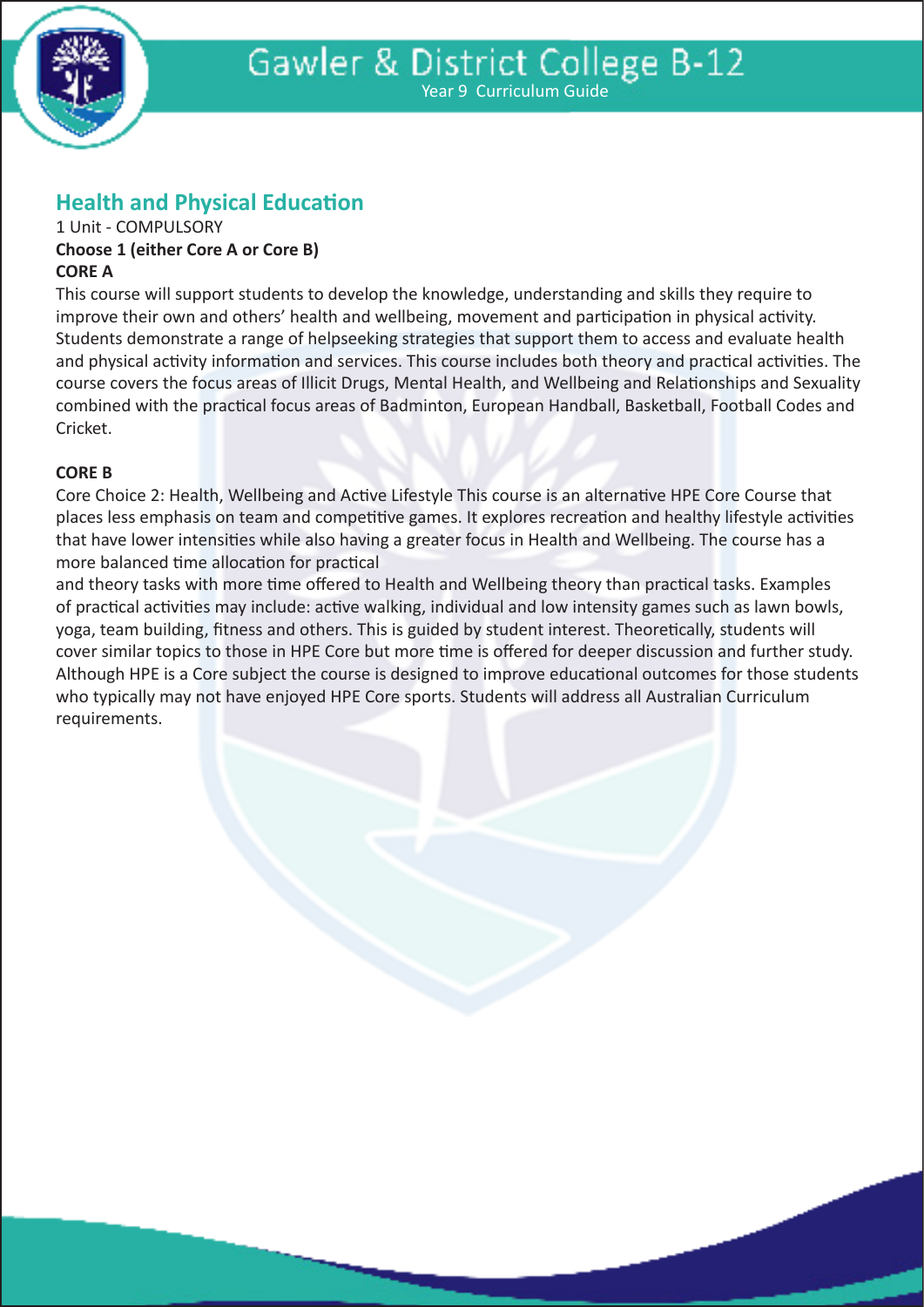

# **Health and Physical Education**

#### 1 Unit - COMPULSORY **Choose 1 (either Core A or Core B) CORE A**

This course will support students to develop the knowledge, understanding and skills they require to improve their own and others' health and wellbeing, movement and participation in physical activity. Students demonstrate a range of helpseeking strategies that support them to access and evaluate health and physical activity information and services. This course includes both theory and practical activities. The course covers the focus areas of Illicit Drugs, Mental Health, and Wellbeing and Relationships and Sexuality combined with the practical focus areas of Badminton, European Handball, Basketball, Football Codes and Cricket.

#### **CORE B**

Core Choice 2: Health, Wellbeing and Active Lifestyle This course is an alternative HPE Core Course that places less emphasis on team and competitive games. It explores recreation and healthy lifestyle activities that have lower intensities while also having a greater focus in Health and Wellbeing. The course has a more balanced time allocation for practical

and theory tasks with more time offered to Health and Wellbeing theory than practical tasks. Examples of practical activities may include: active walking, individual and low intensity games such as lawn bowls, yoga, team building, fitness and others. This is guided by student interest. Theoretically, students will cover similar topics to those in HPE Core but more time is offered for deeper discussion and further study. Although HPE is a Core subject the course is designed to improve educational outcomes for those students who typically may not have enjoyed HPE Core sports. Students will address all Australian Curriculum requirements.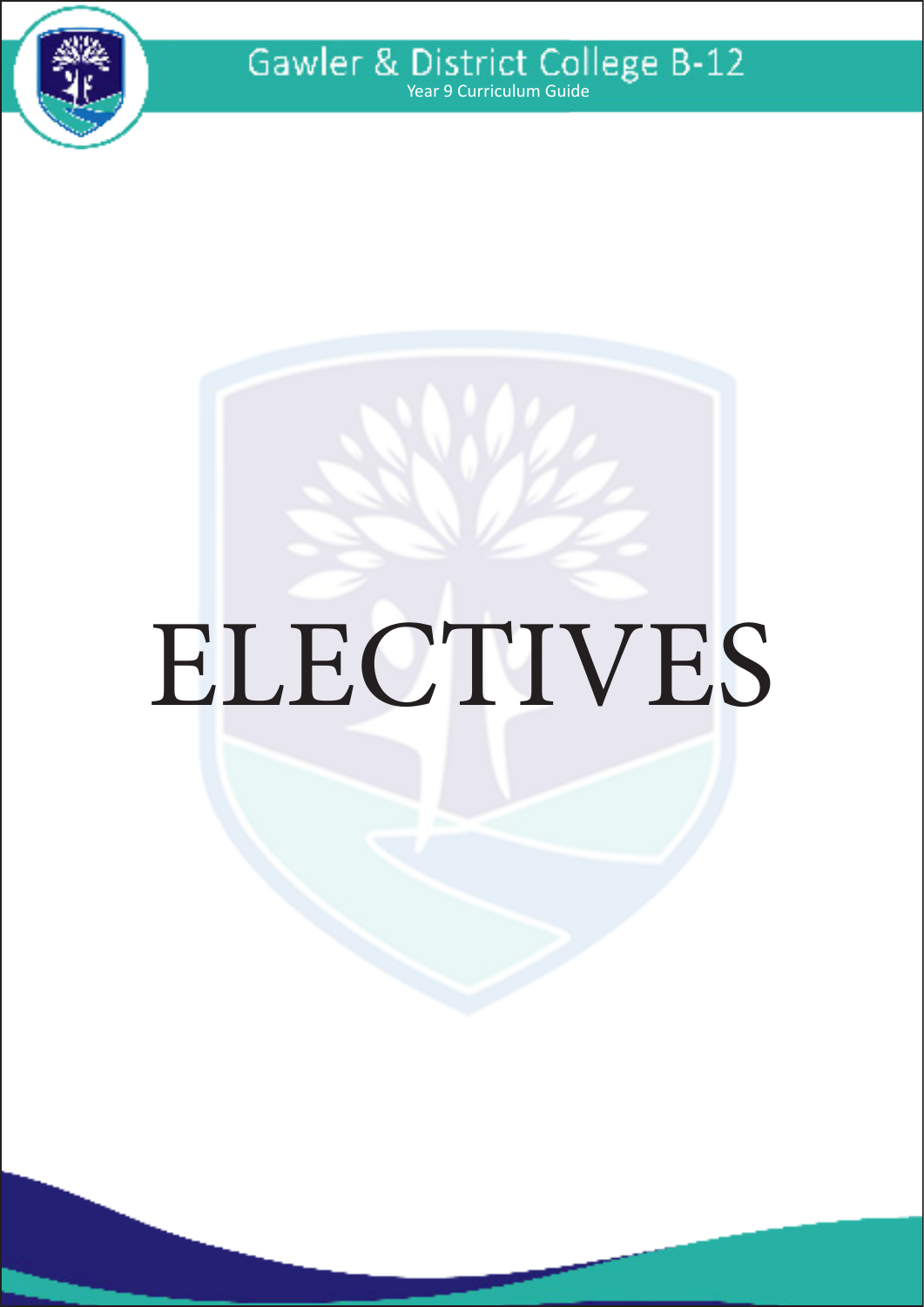

Gawler & District College B-12

# ELECTIVES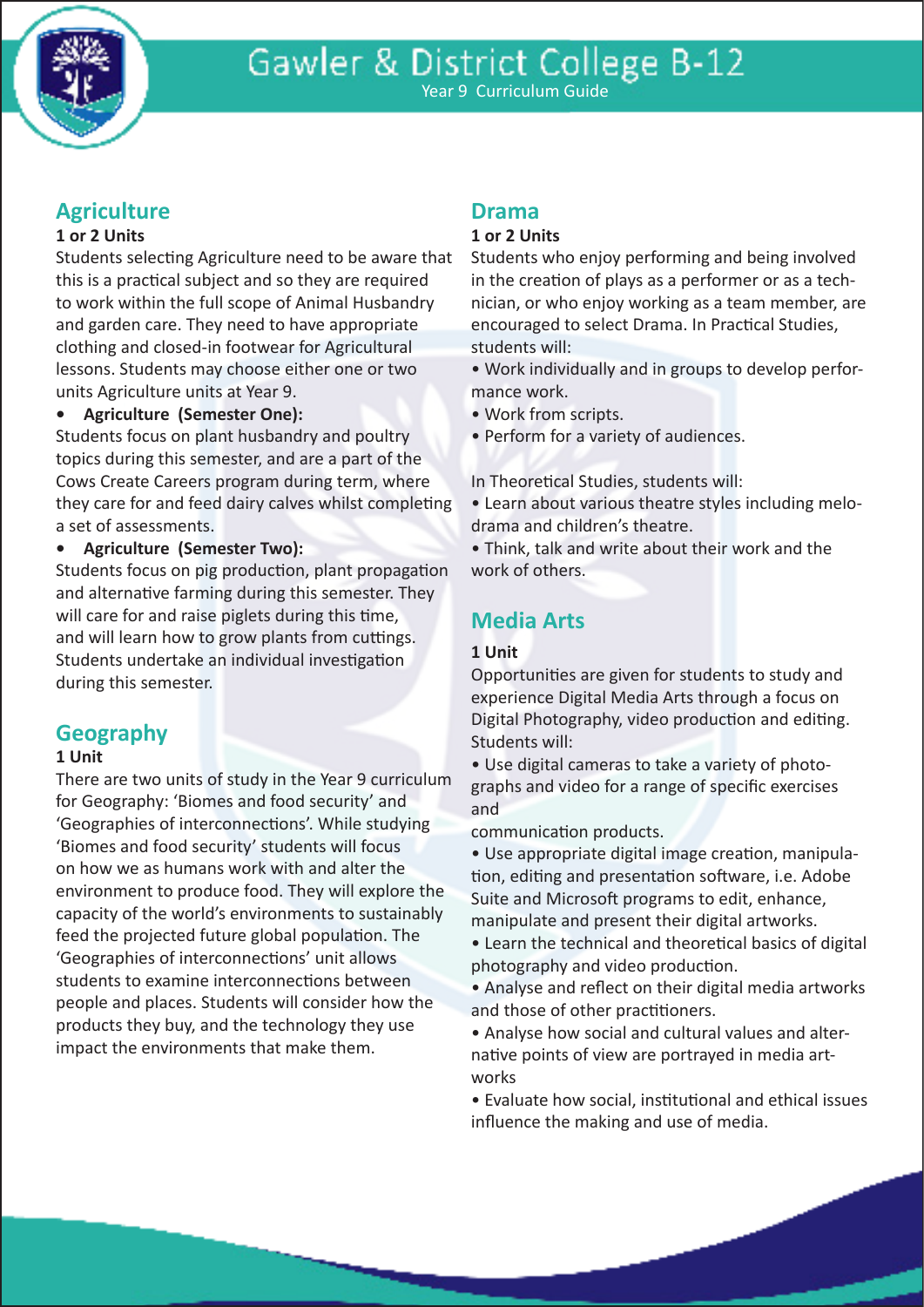

# **Agriculture**

#### **1 or 2 Units**

Students selecting Agriculture need to be aware that this is a practical subject and so they are required to work within the full scope of Animal Husbandry and garden care. They need to have appropriate clothing and closed-in footwear for Agricultural lessons. Students may choose either one or two units Agriculture units at Year 9.

**• Agriculture (Semester One):**

Students focus on plant husbandry and poultry topics during this semester, and are a part of the Cows Create Careers program during term, where they care for and feed dairy calves whilst completing a set of assessments.

**• Agriculture (Semester Two):**

Students focus on pig production, plant propagation and alternative farming during this semester. They will care for and raise piglets during this time, and will learn how to grow plants from cuttings. Students undertake an individual investigation during this semester.

# **Geography**

#### **1 Unit**

There are two units of study in the Year 9 curriculum for Geography: 'Biomes and food security' and 'Geographies of interconnections'. While studying 'Biomes and food security' students will focus on how we as humans work with and alter the environment to produce food. They will explore the capacity of the world's environments to sustainably feed the projected future global population. The 'Geographies of interconnections' unit allows students to examine interconnections between people and places. Students will consider how the products they buy, and the technology they use impact the environments that make them.

# **Drama**

#### **1 or 2 Units**

Students who enjoy performing and being involved in the creation of plays as a performer or as a technician, or who enjoy working as a team member, are encouraged to select Drama. In Practical Studies, students will:

• Work individually and in groups to develop performance work.

• Work from scripts.

• Perform for a variety of audiences.

In Theoretical Studies, students will:

• Learn about various theatre styles including melodrama and children's theatre.

• Think, talk and write about their work and the work of others.

# **Media Arts**

#### **1 Unit**

Opportunities are given for students to study and experience Digital Media Arts through a focus on Digital Photography, video production and editing. Students will:

• Use digital cameras to take a variety of photographs and video for a range of specific exercises and

communication products.

• Use appropriate digital image creation, manipulation, editing and presentation software, i.e. Adobe Suite and Microsoft programs to edit, enhance, manipulate and present their digital artworks.

• Learn the technical and theoretical basics of digital photography and video production.

• Analyse and reflect on their digital media artworks and those of other practitioners.

• Analyse how social and cultural values and alternative points of view are portrayed in media artworks

• Evaluate how social, institutional and ethical issues influence the making and use of media.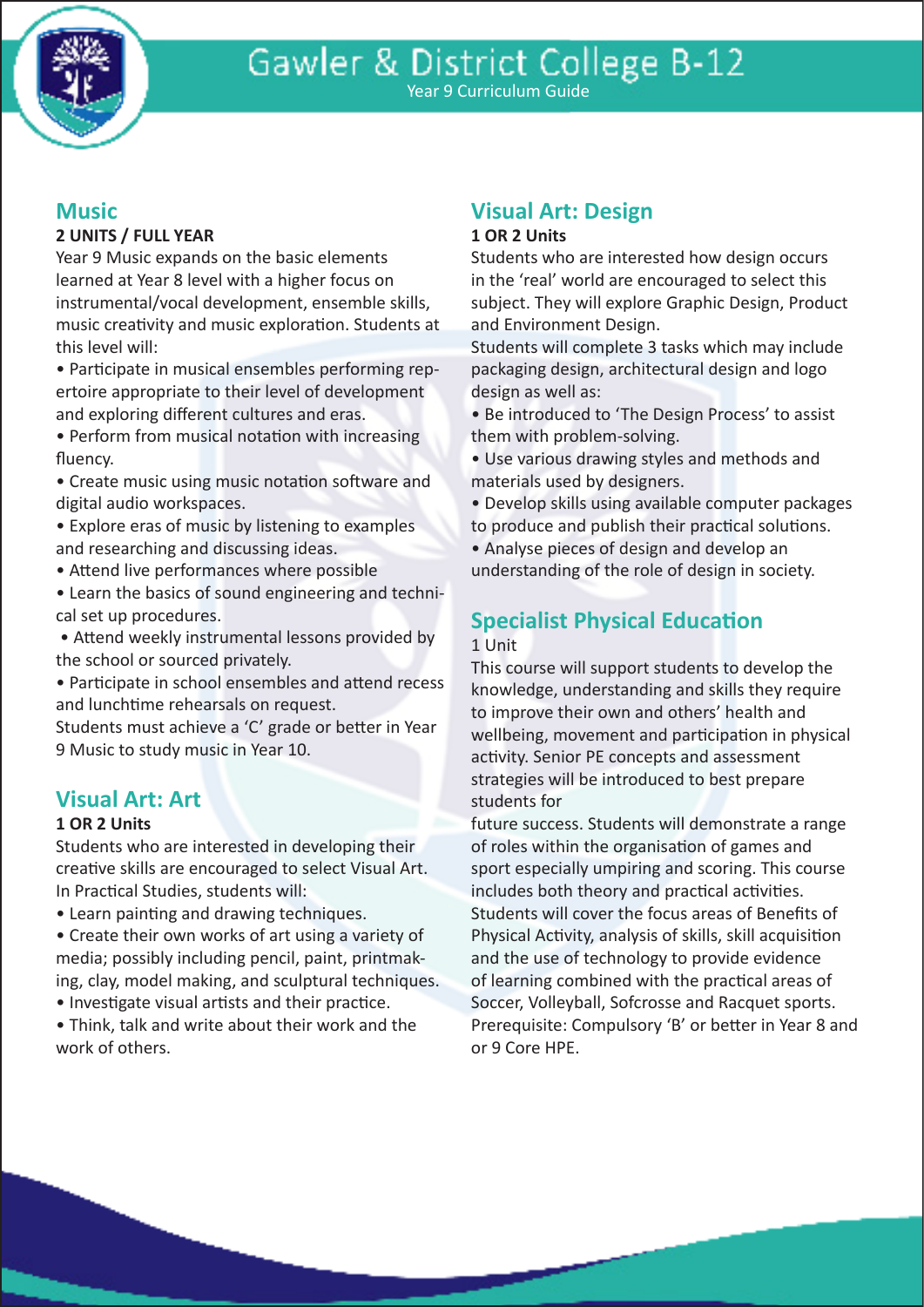

# Year 9 Curriculum Guide

# **Music**

#### **2 UNITS / FULL YEAR**

Year 9 Music expands on the basic elements learned at Year 8 level with a higher focus on instrumental/vocal development, ensemble skills, music creativity and music exploration. Students at this level will:

• Participate in musical ensembles performing repertoire appropriate to their level of development and exploring different cultures and eras.

• Perform from musical notation with increasing fluency.

• Create music using music notation software and digital audio workspaces.

• Explore eras of music by listening to examples and researching and discussing ideas.

- Attend live performances where possible
- Learn the basics of sound engineering and technical set up procedures.

 • Attend weekly instrumental lessons provided by the school or sourced privately.

• Participate in school ensembles and attend recess and lunchtime rehearsals on request.

Students must achieve a 'C' grade or better in Year 9 Music to study music in Year 10.

# **Visual Art: Art**

#### **1 OR 2 Units**

Students who are interested in developing their creative skills are encouraged to select Visual Art. In Practical Studies, students will:

• Learn painting and drawing techniques.

• Create their own works of art using a variety of media; possibly including pencil, paint, printmaking, clay, model making, and sculptural techniques.

• Investigate visual artists and their practice.

• Think, talk and write about their work and the work of others.

# **Visual Art: Design**

#### **1 OR 2 Units**

Students who are interested how design occurs in the 'real' world are encouraged to select this subject. They will explore Graphic Design, Product and Environment Design.

Students will complete 3 tasks which may include packaging design, architectural design and logo design as well as:

• Be introduced to 'The Design Process' to assist them with problem-solving.

• Use various drawing styles and methods and materials used by designers.

• Develop skills using available computer packages to produce and publish their practical solutions.

• Analyse pieces of design and develop an understanding of the role of design in society.

# **Specialist Physical Education**

#### 1 Unit

This course will support students to develop the knowledge, understanding and skills they require to improve their own and others' health and wellbeing, movement and participation in physical activity. Senior PE concepts and assessment strategies will be introduced to best prepare students for

future success. Students will demonstrate a range of roles within the organisation of games and sport especially umpiring and scoring. This course includes both theory and practical activities. Students will cover the focus areas of Benefits of Physical Activity, analysis of skills, skill acquisition and the use of technology to provide evidence of learning combined with the practical areas of Soccer, Volleyball, Sofcrosse and Racquet sports. Prerequisite: Compulsory 'B' or better in Year 8 and or 9 Core HPE.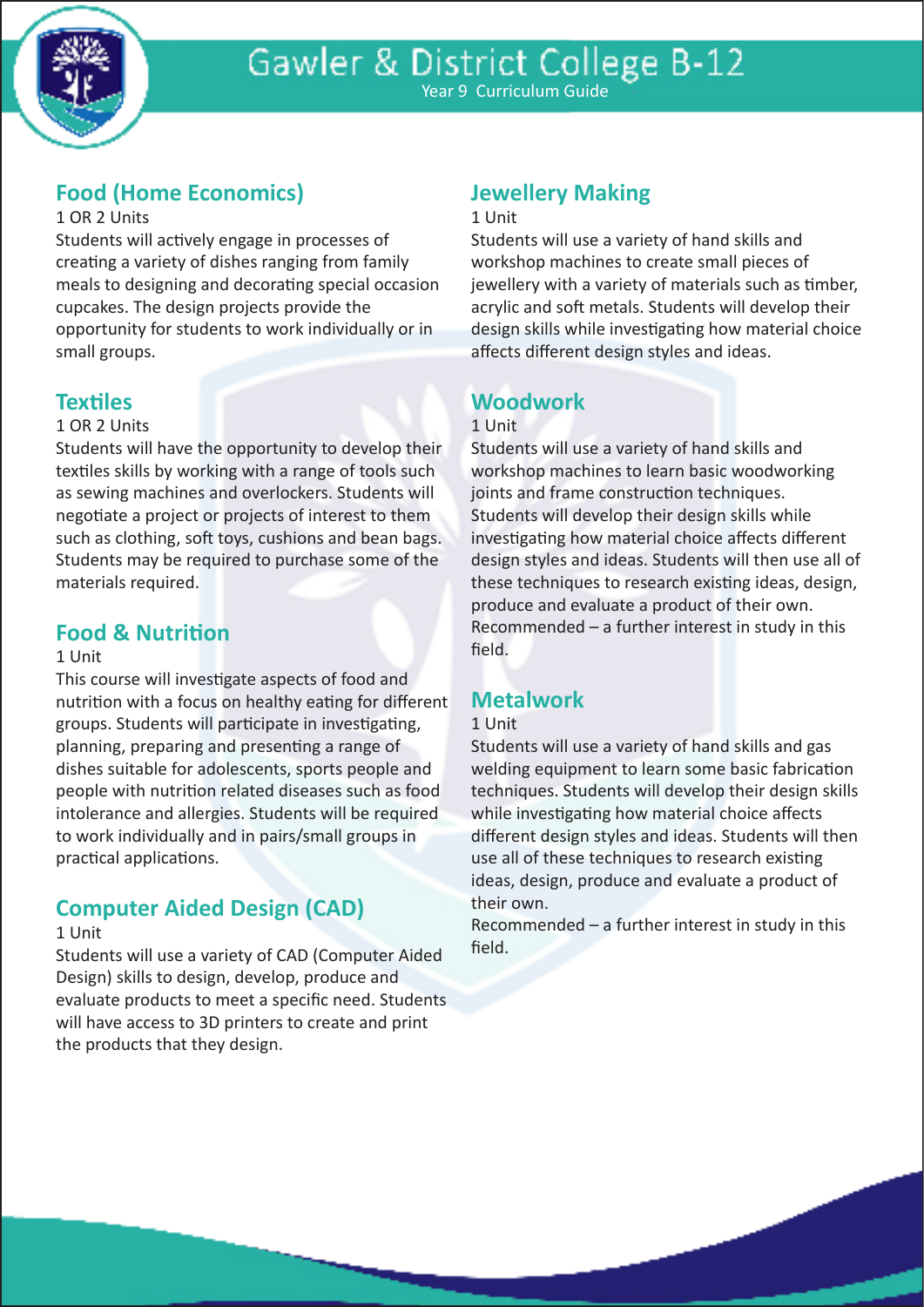

# **Food (Home Economics)**

#### 1 OR 2 Units

Students will actively engage in processes of creating a variety of dishes ranging from family meals to designing and decorating special occasion cupcakes. The design projects provide the opportunity for students to work individually or in small groups.

# **Textiles**

#### 1 OR 2 Units

Students will have the opportunity to develop their textiles skills by working with a range of tools such as sewing machines and overlockers. Students will negotiate a project or projects of interest to them such as clothing, soft toys, cushions and bean bags. Students may be required to purchase some of the materials required.

## **Food & Nutrition**

#### 1 Unit

This course will investigate aspects of food and nutrition with a focus on healthy eating for different groups. Students will participate in investigating, planning, preparing and presenting a range of dishes suitable for adolescents, sports people and people with nutrition related diseases such as food intolerance and allergies. Students will be required to work individually and in pairs/small groups in practical applications.

# **Computer Aided Design (CAD)**

#### 1 Unit

Students will use a variety of CAD (Computer Aided Design) skills to design, develop, produce and evaluate products to meet a specific need. Students will have access to 3D printers to create and print the products that they design.

# **Jewellery Making**

#### 1 Unit

Students will use a variety of hand skills and workshop machines to create small pieces of jewellery with a variety of materials such as timber, acrylic and soft metals. Students will develop their design skills while investigating how material choice affects different design styles and ideas.

# **Woodwork**

#### 1 Unit

Students will use a variety of hand skills and workshop machines to learn basic woodworking joints and frame construction techniques. Students will develop their design skills while investigating how material choice affects different design styles and ideas. Students will then use all of these techniques to research existing ideas, design, produce and evaluate a product of their own. Recommended – a further interest in study in this field.

# **Metalwork**

#### 1 Unit

Students will use a variety of hand skills and gas welding equipment to learn some basic fabrication techniques. Students will develop their design skills while investigating how material choice affects different design styles and ideas. Students will then use all of these techniques to research existing ideas, design, produce and evaluate a product of their own.

Recommended – a further interest in study in this field.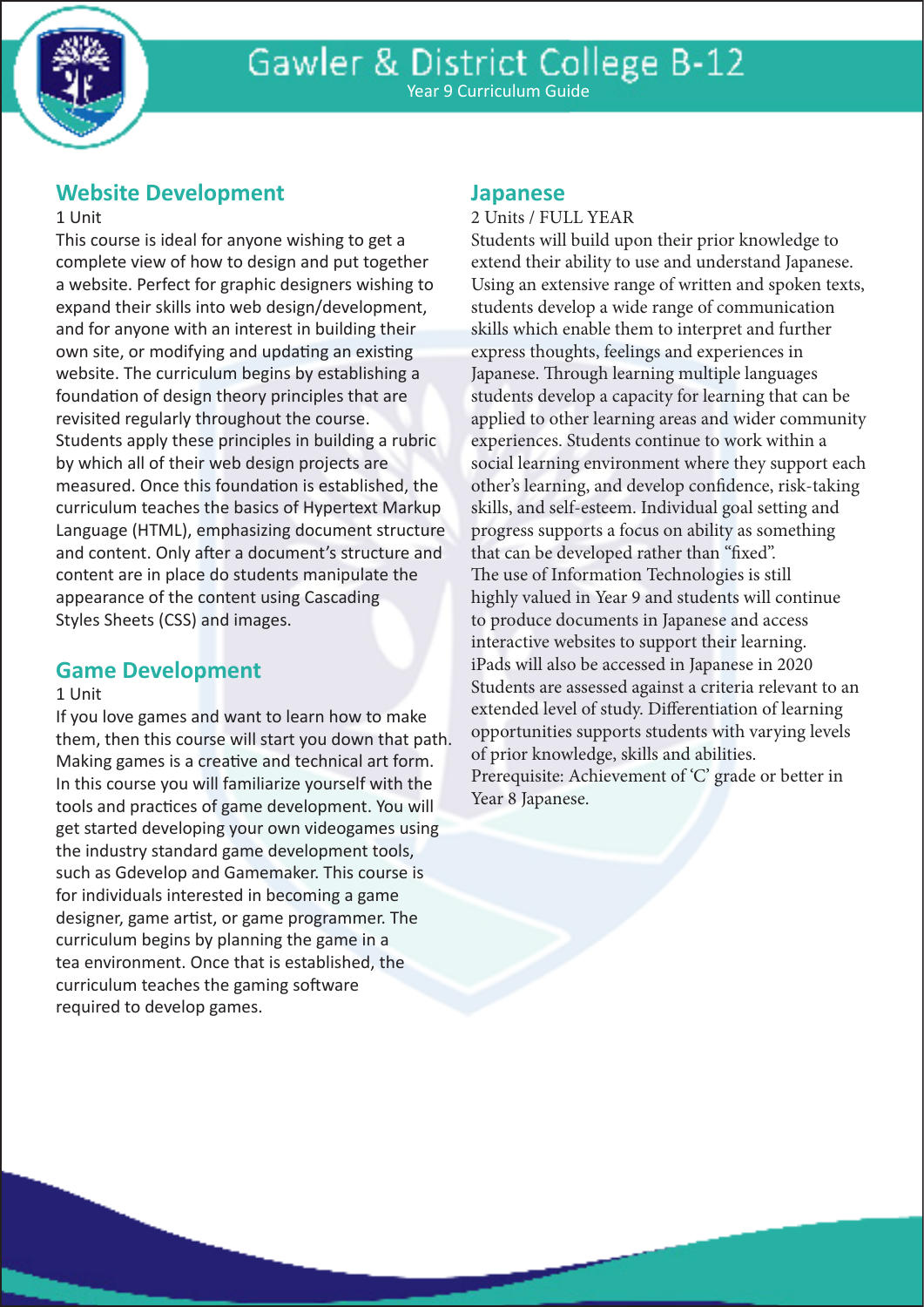

## **Website Development**

#### 1 Unit

This course is ideal for anyone wishing to get a complete view of how to design and put together a website. Perfect for graphic designers wishing to expand their skills into web design/development, and for anyone with an interest in building their own site, or modifying and updating an existing website. The curriculum begins by establishing a foundation of design theory principles that are revisited regularly throughout the course. Students apply these principles in building a rubric by which all of their web design projects are measured. Once this foundation is established, the curriculum teaches the basics of Hypertext Markup Language (HTML), emphasizing document structure and content. Only after a document's structure and content are in place do students manipulate the appearance of the content using Cascading Styles Sheets (CSS) and images.

### **Game Development**

#### 1 Unit

If you love games and want to learn how to make them, then this course will start you down that path. Making games is a creative and technical art form. In this course you will familiarize yourself with the tools and practices of game development. You will get started developing your own videogames using the industry standard game development tools, such as Gdevelop and Gamemaker. This course is for individuals interested in becoming a game designer, game artist, or game programmer. The curriculum begins by planning the game in a tea environment. Once that is established, the curriculum teaches the gaming software required to develop games.

#### **Japanese**

2 Units / FULL YEAR

Students will build upon their prior knowledge to extend their ability to use and understand Japanese. Using an extensive range of written and spoken texts, students develop a wide range of communication skills which enable them to interpret and further express thoughts, feelings and experiences in Japanese. Through learning multiple languages students develop a capacity for learning that can be applied to other learning areas and wider community experiences. Students continue to work within a social learning environment where they support each other's learning, and develop confidence, risk-taking skills, and self-esteem. Individual goal setting and progress supports a focus on ability as something that can be developed rather than "fixed". The use of Information Technologies is still highly valued in Year 9 and students will continue to produce documents in Japanese and access interactive websites to support their learning. iPads will also be accessed in Japanese in 2020 Students are assessed against a criteria relevant to an extended level of study. Differentiation of learning opportunities supports students with varying levels of prior knowledge, skills and abilities. Prerequisite: Achievement of 'C' grade or better in Year 8 Japanese.